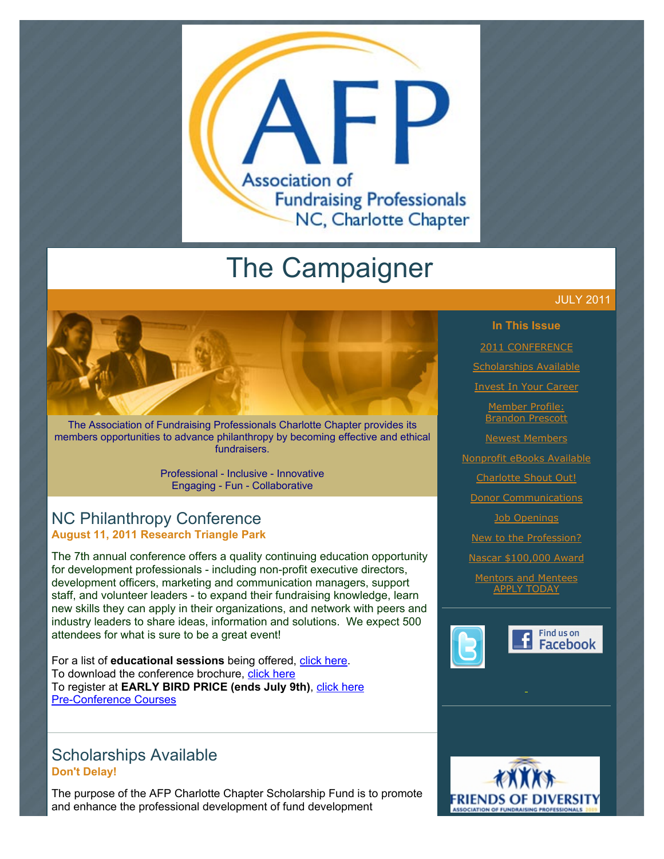

# The Campaigner

The Association of Fundraising Professionals Charlotte Chapter provides its members opportunities to advance philanthropy by becoming effective and ethical fundraisers.

> Professional - Inclusive - Innovative Engaging - Fun - Collaborative

### NC Philanthropy Conference **August 11, 2011 Research Triangle Park**

The 7th annual conference offers a quality continuing education opportunity for development professionals - including non-profit executive directors, development officers, marketing and communication managers, support staff, and volunteer leaders - to expand their fundraising knowledge, learn new skills they can apply in their organizations, and network with peers and industry leaders to share ideas, information and solutions. We expect 500 attendees for what is sure to be a great event!

For a list of **educational sessions** being offered, [click here.](http://www.afp-charlotte.org/customers/102012921065393/filemanager/2011_NC_Philanthropy_Conference_Courses.pdf) To download the conference brochure, [click here](http://www.afp-charlotte.org/customers/102012921065393/filemanager/2011ConferenceTrifold.pdf) To register at **EARLY BIRD PRICE (ends July 9th)**, [click here](http://www.ncphilanthropyconference.org/registration.html) [Pre-Conference Courses](http://www.ncphilanthropyconference.org/pre_conferencecourses.html)

### Scholarships Available **Don't Delay!**

The purpose of the AFP Charlotte Chapter Scholarship Fund is to promote and enhance the professional development of fund development



**In This Issue**

[2011 CONFERENCE](http://archive.constantcontact.com/fs051/1101610725496/archive/1106003912237.html#LETTER.BLOCK6)

[Scholarships Available](http://archive.constantcontact.com/fs051/1101610725496/archive/1106003912237.html#LETTER.BLOCK8)

[Invest In Your Career](http://archive.constantcontact.com/fs051/1101610725496/archive/1106003912237.html#LETTER.BLOCK10)

Member Profile: [Brandon Prescott](http://archive.constantcontact.com/fs051/1101610725496/archive/1106003912237.html#LETTER.BLOCK14)

[Newest Members](http://archive.constantcontact.com/fs051/1101610725496/archive/1106003912237.html#LETTER.BLOCK16) [Nonprofit eBooks Available](http://archive.constantcontact.com/fs051/1101610725496/archive/1106003912237.html#LETTER.BLOCK18)

[Charlotte Shout Out!](http://archive.constantcontact.com/fs051/1101610725496/archive/1106003912237.html#LETTER.BLOCK20)

[Donor Communications](http://archive.constantcontact.com/fs051/1101610725496/archive/1106003912237.html#LETTER.BLOCK29)

[Job Openings](http://archive.constantcontact.com/fs051/1101610725496/archive/1106003912237.html#LETTER.BLOCK36)

[New to the Profession?](http://archive.constantcontact.com/fs051/1101610725496/archive/1106003912237.html#LETTER.BLOCK27)

[Nascar \\$100,000 Award](http://archive.constantcontact.com/fs051/1101610725496/archive/1106003912237.html#LETTER.BLOCK12)

[Mentors and Mentees](http://archive.constantcontact.com/fs051/1101610725496/archive/1106003912237.html#LETTER.BLOCK38) APPLY TODAY



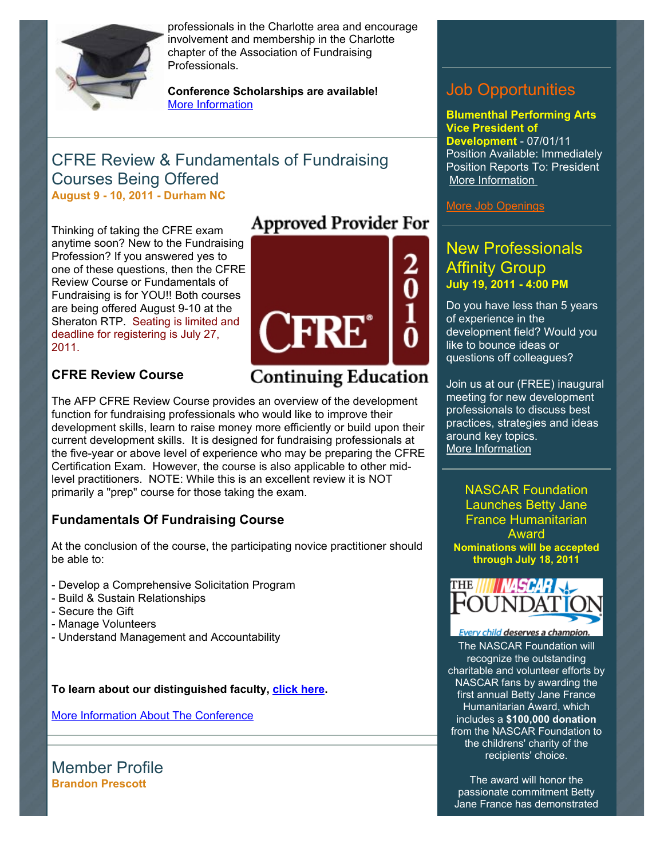

professionals in the Charlotte area and encourage involvement and membership in the Charlotte chapter of the Association of Fundraising Professionals.

**Conference Scholarships are available!**  [More Information](http://www.afp-charlotte.org/scholarships.html)

### CFRE Review & Fundamentals of Fundraising Courses Being Offered **August 9 - 10, 2011 - Durham NC**

**Approved Provider For** Thinking of taking the CFRE exam anytime soon? New to the Fundraising Profession? If you answered yes to one of these questions, then the CFRE Review Course or Fundamentals of Fundraising is for YOU!! Both courses are being offered August 9-10 at the Sheraton RTP. Seating is limited and deadline for registering is July 27, 2011.

### **CFRE Review Course**



## **Continuing Education**

The AFP CFRE Review Course provides an overview of the development function for fundraising professionals who would like to improve their development skills, learn to raise money more efficiently or build upon their current development skills. It is designed for fundraising professionals at the five-year or above level of experience who may be preparing the CFRE Certification Exam. However, the course is also applicable to other midlevel practitioners. NOTE: While this is an excellent review it is NOT primarily a "prep" course for those taking the exam.

### **Fundamentals Of Fundraising Course**

At the conclusion of the course, the participating novice practitioner should be able to:

- Develop a Comprehensive Solicitation Program
- Build & Sustain Relationships
- Secure the Gift
- Manage Volunteers
- Understand Management and Accountability

**To learn about our distinguished faculty, [click here.](http://www.afp-charlotte.org/customers/102012921065393/filemanager/2011_Faculty_Bios.pdf)**

[More Information About The Conference](http://www.ncphilanthropyconference.org/)

Member Profile **Brandon Prescott**

### Job Opportunities

**Blumenthal Performing Arts Vice President of Development** - 07/01/11 Position Available: Immediately Position Reports To: President [More Information](http://www.afp-charlotte.org/customers/102012921065393/filemanager/070111_Blumenthal.pdf) 

[More Job Openings](http://www.afp-charlotte.org/executivereferrals.html)

### New Professionals Affinity Group **July 19, 2011 - 4:00 PM**

Do you have less than 5 years of experience in the development field? Would you like to bounce ideas or questions off colleagues?

Join us at our (FREE) inaugural meeting for new development professionals to discuss best practices, strategies and ideas around key topics. [More Information](http://www.afp-charlotte.org/rsvp_details.html?id=3229) 

NASCAR Foundation Launches Betty Jane France Humanitarian Award **Nominations will be accepted through July 18, 2011**



Every child deserves a champior [The NASCAR Foundation will](http://www.nascar.com/foundation) recognize the outstanding charitable and volunteer efforts by NASCAR fans by awarding the first annual Betty Jane France Humanitarian Award, which includes a **\$100,000 donation** from the NASCAR Foundation to the childrens' charity of the recipients' choice.

The award will honor the passionate commitment Betty Jane France has demonstrated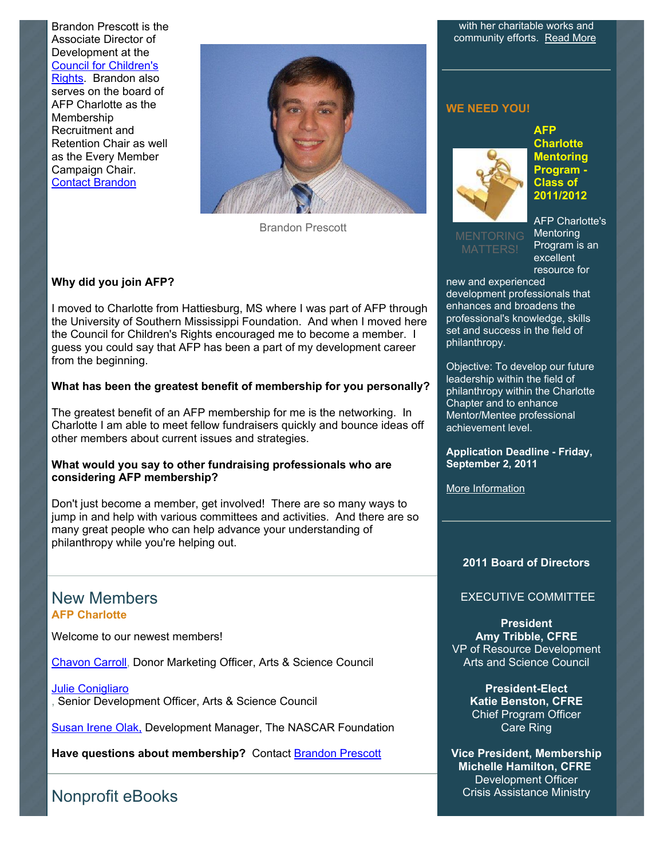Brandon Prescott is the Associate Director of Development at the Council for Children's [Rights. Brandon also](http://www.cfcrights.org/) serves on the board of AFP Charlotte as the Membership Recruitment and Retention Chair as well as the Every Member Campaign Chair. [Contact Brandon](mailto:brandon@cfcrights.org)



Brandon Prescott

#### **Why did you join AFP?**

I moved to Charlotte from Hattiesburg, MS where I was part of AFP through the University of Southern Mississippi Foundation. And when I moved here the Council for Children's Rights encouraged me to become a member. I guess you could say that AFP has been a part of my development career from the beginning.

#### **What has been the greatest benefit of membership for you personally?**

The greatest benefit of an AFP membership for me is the networking. In Charlotte I am able to meet fellow fundraisers quickly and bounce ideas off other members about current issues and strategies.

#### **What would you say to other fundraising professionals who are considering AFP membership?**

Don't just become a member, get involved! There are so many ways to jump in and help with various committees and activities. And there are so many great people who can help advance your understanding of philanthropy while you're helping out.

### New Members **AFP Charlotte**

Welcome to our newest members!

[Chavon Carroll,](mailto:chavon.carroll@artsandscience.org) Donor Marketing Officer, Arts & Science Council

[Julie Conigliaro](mailto:julie.conigliaro@artsandscience.org) , Senior Development Officer, Arts & Science Council

**[Susan Irene Olak,](mailto:solak@nascar.com) Development Manager, The NASCAR Foundation** 

**Have questions about membership?** Contact [Brandon Prescott](mailto:brandon@cfcrights.org)

Nonprofit eBooks

with her charitable works and community efforts. [Read More](http://www.afp-charlotte.org/customers/102012921065393/filemanager/2011_juneNASCARFDNAWARD.pdf)

#### **WE NEED YOU!**



**AFP Charlotte Mentoring Program - Class of 2011/2012** 

AFP Charlotte's **Mentoring** Program is an excellent resource for

new and experienced development professionals that enhances and broadens the professional's knowledge, skills set and success in the field of philanthropy.

Objective: To develop our future leadership within the field of philanthropy within the Charlotte Chapter and to enhance Mentor/Mentee professional achievement level.

**Application Deadline - Friday, September 2, 2011**

[More Information](http://www.afp-charlotte.org/page4.html)

#### **2011 Board of Directors**

### EXECUTIVE COMMITTEE

**President Amy Tribble, CFRE** VP of Resource Development Arts and Science Council

> **President-Elect Katie Benston, CFRE** Chief Program Officer Care Ring

**Vice President, Membership Michelle Hamilton, CFRE** Development Officer Crisis Assistance Ministry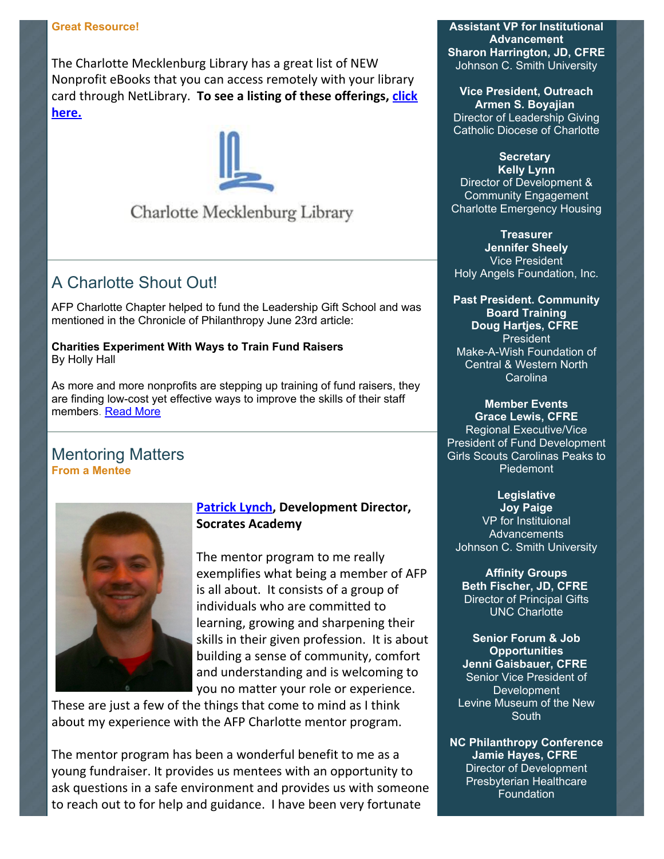The Charlotte Mecklenburg Library has a great list of NEW Nonprofit eBooks that you can access remotely with your library card through NetLibrary. To see a listing of these offerings, **click here.**



### Charlotte Mecklenburg Library

### A Charlotte Shout Out!

AFP Charlotte Chapter helped to fund the Leadership Gift School and was mentioned in the Chronicle of Philanthropy June 23rd article:

**Charities Experiment With Ways to Train Fund Raisers** By Holly Hall

As more and more nonprofits are stepping up training of fund raisers, they are finding low-cost yet effective ways to improve the skills of their staff members. [Read More](http://philanthropy.com/blogs/prospecting/charities-experiment-with-ways-to-train-fund-raisers/30461?sid=pt&utm_source=pt&utm_medium=en)

### Mentoring Matters **From a Mentee**



### **Patrick Lynch, Development Director, Socrates Academy**

The mentor program to me really exemplifies what being a member of AFP is all about. It consists of a group of individuals who are committed to learning, growing and sharpening their skills in their given profession. It is about building a sense of community, comfort and understanding and is welcoming to you no matter your role or experience.

These are just a few of the things that come to mind as I think about my experience with the AFP Charlotte mentor program.

The mentor program has been a wonderful benefit to me as a young fundraiser. It provides us mentees with an opportunity to ask questions in a safe environment and provides us with someone to reach out to for help and guidance. I have been very fortunate

**Assistant VP for Institutional Advancement Sharon Harrington, JD, CFRE** Johnson C. Smith University

**Vice President, Outreach Armen S. Boyajian** Director of Leadership Giving Catholic Diocese of Charlotte

### **Secretary**

**Kelly Lynn** Director of Development & Community Engagement Charlotte Emergency Housing

**Treasurer Jennifer Sheely** Vice President Holy Angels Foundation, Inc.

**Past President. Community Board Training Doug Hartjes, CFRE** President Make-A-Wish Foundation of Central & Western North Carolina

### **Member Events**

**Grace Lewis, CFRE** Regional Executive/Vice President of Fund Development Girls Scouts Carolinas Peaks to Piedemont

#### **Legislative**

**Joy Paige** VP for Instituional **Advancements** Johnson C. Smith University

**Affinity Groups Beth Fischer, JD, CFRE** Director of Principal Gifts UNC Charlotte

**Senior Forum & Job Opportunities Jenni Gaisbauer, CFRE** Senior Vice President of Development Levine Museum of the New **South** 

**NC Philanthropy Conference Jamie Hayes, CFRE** Director of Development Presbyterian Healthcare **Foundation**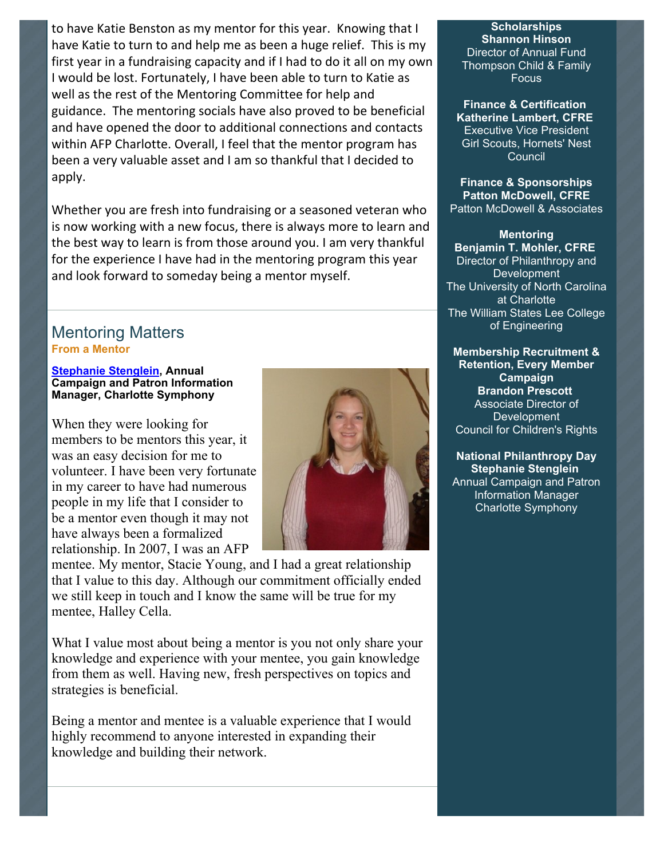to have Katie Benston as my mentor for this year. Knowing that I have Katie to turn to and help me as been a huge relief. This is my first year in a fundraising capacity and if I had to do it all on my own I would be lost. Fortunately, I have been able to turn to Katie as well as the rest of the Mentoring Committee for help and guidance. The mentoring socials have also proved to be beneficial and have opened the door to additional connections and contacts within AFP Charlotte. Overall, I feel that the mentor program has been a very valuable asset and I am so thankful that I decided to apply.

Whether you are fresh into fundraising or a seasoned veteran who is now working with a new focus, there is always more to learn and the best way to learn is from those around you. I am very thankful for the experience I have had in the mentoring program this year and look forward to someday being a mentor myself.

### Mentoring Matters **From a Mentor**

#### **[Stephanie Stenglein,](mailto:stephanies@charlottesymphony.org) Annual Campaign and Patron Information Manager, Charlotte Symphony**

When they were looking for members to be mentors this year, it was an easy decision for me to volunteer. I have been very fortunate in my career to have had numerous people in my life that I consider to be a mentor even though it may not have always been a formalized relationship. In 2007, I was an AFP



mentee. My mentor, Stacie Young, and I had a great relationship that I value to this day. Although our commitment officially ended we still keep in touch and I know the same will be true for my mentee, Halley Cella.

What I value most about being a mentor is you not only share your knowledge and experience with your mentee, you gain knowledge from them as well. Having new, fresh perspectives on topics and strategies is beneficial.

Being a mentor and mentee is a valuable experience that I would highly recommend to anyone interested in expanding their knowledge and building their network.

**Scholarships Shannon Hinson** Director of Annual Fund Thompson Child & Family Focus

**Finance & Certification Katherine Lambert, CFRE** Executive Vice President Girl Scouts, Hornets' Nest **Council** 

**Finance & Sponsorships Patton McDowell, CFRE** Patton McDowell & Associates

**Mentoring Benjamin T. Mohler, CFRE** Director of Philanthropy and Development **The University of North Carolina** at Charlotte The William States Lee College of Engineering

**Membership Recruitment & Retention, Every Member Campaign Brandon Prescott** Associate Director of **Development** Council for Children's Rights

**National Philanthropy Day Stephanie Stenglein** Annual Campaign and Patron Information Manager Charlotte Symphony